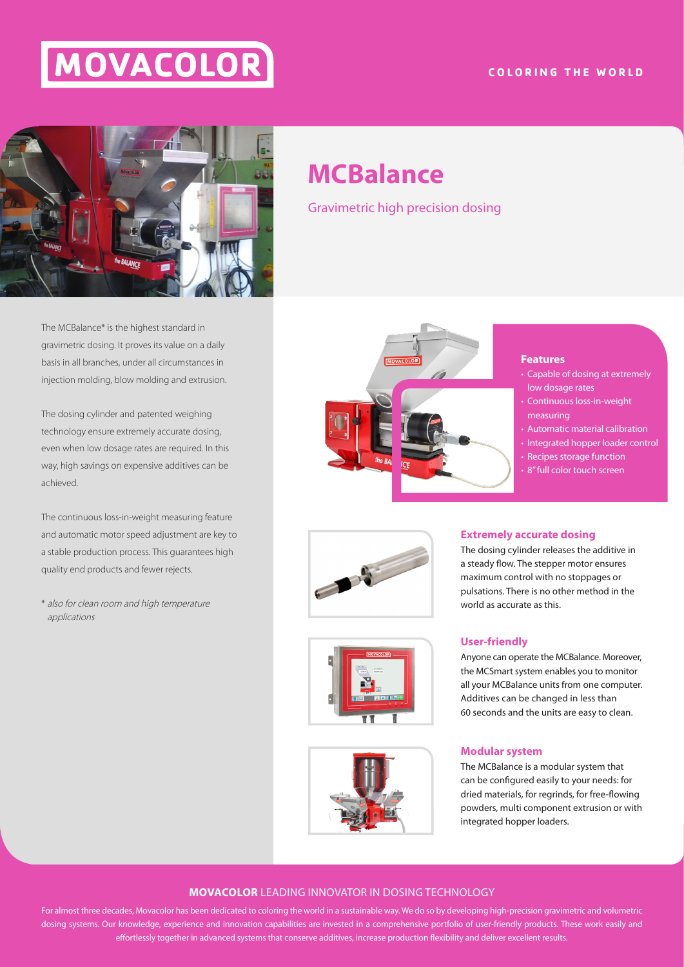# MOVACOLOR

# **COLORING THE WORLD**



The MCBalance\* is the highest standard in gravimetric dosing. It proves its value on a daily basis in all branches, under all circumstances in injection molding, blow molding and extrusion.

The dosing cylinder and patented weighing technology ensure extremely accurate dosing, even when low dosage rates are required. In this way, high savings on expensive additives can be achieved.

The continuous loss-in-weight measuring feature and automatic motor speed adjustment are key to a stable production process. This guarantees high quality end products and fewer rejects.

\* also for clean room and high temperature applications

# **MCBalance**

Gravimetric high precision dosing



#### **Features**

- Capable of dosing at extremely low dosage rates
- Continuous loss-in-weight measuring
- Automatic material calibration
- Integrated hopper loader control
- Recipes storage function
- 8" full color touch screen



### **Extremely accurate dosing** The dosing cylinder releases the additive in

a steady flow. The stepper motor ensures maximum control with no stoppages or pulsations. There is no other method in the world as accurate as this.

# **User-friendly**

Anyone can operate the MCBalance. Moreover, the MCSmart system enables you to monitor all your MCBalance units from one computer. Additives can be changed in less than 60 seconds and the units are easy to clean.

# **Modular system**

The MCBalance is a modular system that can be configured easily to your needs: for dried materials, for regrinds, for free-flowing powders, multi component extrusion or with integrated hopper loaders.

# **MOVACOLOR** LEADING INNOVATOR IN DOSING TECHNOLOGY

For almost three decades, Movacolor has been dedicated to coloring the world in a sustainable way. We do so by developing high-precision gravimetric and volumetric dosing systems. Our knowledge, experience and innovation capabilities are invested in a comprehensive portfolio of user-friendly products. These work easily and effortlessly together in advanced systems that conserve additives, increase production flexibility and deliver excellent results.